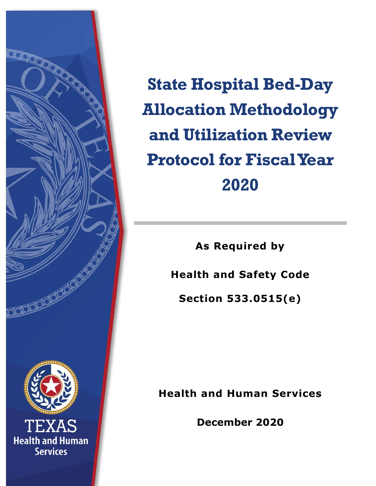

**State Hospital Bed-Day Allocation Methodology and Utilization Review Protocol for Fiscal Year 2020**

**As Required by** 

**Health and Safety Code** 

**Section 533.0515(e)**

**Health and Human Services**

**December 2020**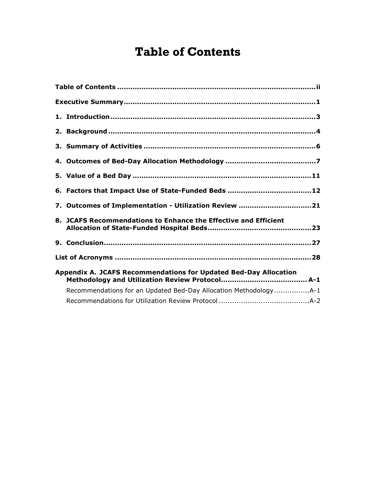## <span id="page-1-0"></span>**Table of Contents**

| 7. Outcomes of Implementation - Utilization Review 21            |
|------------------------------------------------------------------|
| 8. JCAFS Recommendations to Enhance the Effective and Efficient  |
|                                                                  |
|                                                                  |
| Appendix A. JCAFS Recommendations for Updated Bed-Day Allocation |
| Recommendations for an Updated Bed-Day Allocation MethodologyA-1 |
|                                                                  |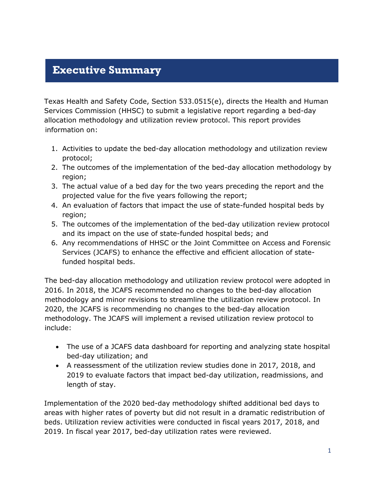### <span id="page-2-0"></span>**Executive Summary**

[Texas Health and Safety Code, Section 533.0515\(e\),](https://statutes.capitol.texas.gov/Docs/HS/htm/HS.533.htm#533.0515) directs the Health and Human Services Commission (HHSC) to submit a legislative report regarding a bed-day allocation methodology and utilization review protocol. This report provides information on:

- 1. Activities to update the bed-day allocation methodology and utilization review protocol;
- 2. The outcomes of the implementation of the bed-day allocation methodology by region;
- 3. The actual value of a bed day for the two years preceding the report and the projected value for the five years following the report;
- 4. An evaluation of factors that impact the use of state-funded hospital beds by region;
- 5. The outcomes of the implementation of the bed-day utilization review protocol and its impact on the use of state-funded hospital beds; and
- 6. Any recommendations of HHSC or the Joint Committee on Access and Forensic Services (JCAFS) to enhance the effective and efficient allocation of statefunded hospital beds.

The bed-day allocation methodology and utilization review protocol were adopted in 2016. In 2018, the JCAFS recommended no changes to the bed-day allocation methodology and minor revisions to streamline the utilization review protocol. In 2020, the JCAFS is recommending no changes to the bed-day allocation methodology. The JCAFS will implement a revised utilization review protocol to include:

- The use of a JCAFS data dashboard for reporting and analyzing state hospital bed-day utilization; and
- A reassessment of the utilization review studies done in 2017, 2018, and 2019 to evaluate factors that impact bed-day utilization, readmissions, and length of stay.

Implementation of the 2020 bed-day methodology shifted additional bed days to areas with higher rates of poverty but did not result in a dramatic redistribution of beds. Utilization review activities were conducted in fiscal years 2017, 2018, and 2019. In fiscal year 2017, bed-day utilization rates were reviewed.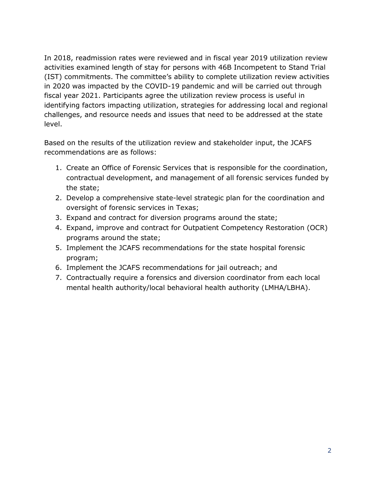In 2018, readmission rates were reviewed and in fiscal year 2019 utilization review activities examined length of stay for persons with 46B Incompetent to Stand Trial (IST) commitments. The committee's ability to complete utilization review activities in 2020 was impacted by the COVID-19 pandemic and will be carried out through fiscal year 2021. Participants agree the utilization review process is useful in identifying factors impacting utilization, strategies for addressing local and regional challenges, and resource needs and issues that need to be addressed at the state level.

Based on the results of the utilization review and stakeholder input, the JCAFS recommendations are as follows:

- 1. Create an Office of Forensic Services that is responsible for the coordination, contractual development, and management of all forensic services funded by the state;
- 2. Develop a comprehensive state-level strategic plan for the coordination and oversight of forensic services in Texas;
- 3. Expand and contract for diversion programs around the state;
- 4. Expand, improve and contract for Outpatient Competency Restoration (OCR) programs around the state;
- 5. Implement the JCAFS recommendations for the state hospital forensic program;
- 6. Implement the JCAFS recommendations for jail outreach; and
- 7. Contractually require a forensics and diversion coordinator from each local mental health authority/local behavioral health authority (LMHA/LBHA).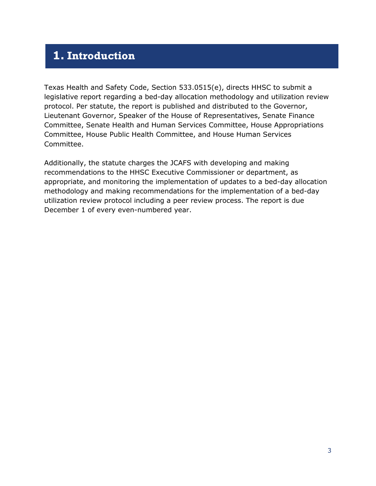### <span id="page-4-0"></span>**1. Introduction**

[Texas Health and Safety Code, Section 533.0515\(e\),](https://statutes.capitol.texas.gov/Docs/HS/htm/HS.533.htm#533.0515) directs HHSC to submit a legislative report regarding a bed-day allocation methodology and utilization review protocol. Per statute, the report is published and distributed to the Governor, Lieutenant Governor, Speaker of the House of Representatives, Senate Finance Committee, Senate Health and Human Services Committee, House Appropriations Committee, House Public Health Committee, and House Human Services Committee.

Additionally, the statute charges the JCAFS with developing and making recommendations to the HHSC Executive Commissioner or department, as appropriate, and monitoring the implementation of updates to a bed-day allocation methodology and making recommendations for the implementation of a bed-day utilization review protocol including a peer review process. The report is due December 1 of every even-numbered year.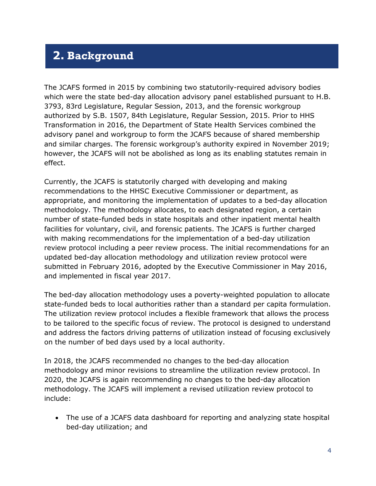## <span id="page-5-0"></span>**2. Background**

The JCAFS formed in 2015 by combining two statutorily-required advisory bodies which were the state bed-day allocation advisory panel established pursuant to H.B. 3793, 83rd Legislature, Regular Session, 2013, and the forensic workgroup authorized by S.B. 1507, 84th Legislature, Regular Session, 2015. Prior to HHS Transformation in 2016, the Department of State Health Services combined the advisory panel and workgroup to form the JCAFS because of shared membership and similar charges. The forensic workgroup's authority expired in November 2019; however, the JCAFS will not be abolished as long as its enabling statutes remain in effect.

Currently, the JCAFS is statutorily charged with developing and making recommendations to the HHSC Executive Commissioner or department, as appropriate, and monitoring the implementation of updates to a bed-day allocation methodology. The methodology allocates, to each designated region, a certain number of state-funded beds in state hospitals and other inpatient mental health facilities for voluntary, civil, and forensic patients. The JCAFS is further charged with making recommendations for the implementation of a bed-day utilization review protocol including a peer review process. The initial recommendations for an updated bed-day allocation methodology and utilization review protocol were submitted in February 2016, adopted by the Executive Commissioner in May 2016, and implemented in fiscal year 2017.

The bed-day allocation methodology uses a poverty-weighted population to allocate state-funded beds to local authorities rather than a standard per capita formulation. The utilization review protocol includes a flexible framework that allows the process to be tailored to the specific focus of review. The protocol is designed to understand and address the factors driving patterns of utilization instead of focusing exclusively on the number of bed days used by a local authority.

In 2018, the JCAFS recommended no changes to the bed-day allocation methodology and minor revisions to streamline the utilization review protocol. In 2020, the JCAFS is again recommending no changes to the bed-day allocation methodology. The JCAFS will implement a revised utilization review protocol to include:

• The use of a JCAFS data dashboard for reporting and analyzing state hospital bed-day utilization; and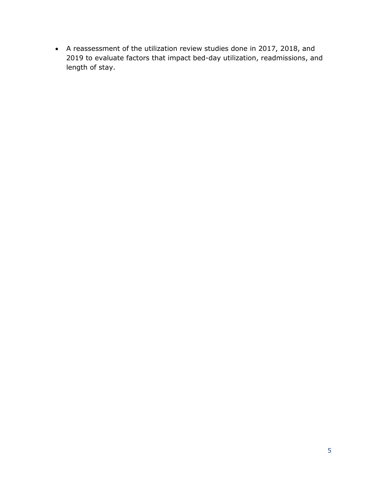• A reassessment of the utilization review studies done in 2017, 2018, and 2019 to evaluate factors that impact bed-day utilization, readmissions, and length of stay.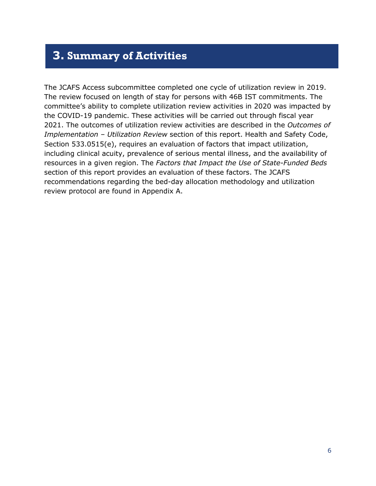### <span id="page-7-0"></span>**3. Summary of Activities**

The JCAFS Access subcommittee completed one cycle of utilization review in 2019. The review focused on length of stay for persons with 46B IST commitments. The committee's ability to complete utilization review activities in 2020 was impacted by the COVID-19 pandemic. These activities will be carried out through fiscal year 2021. The outcomes of utilization review activities are described in the *Outcomes of Implementation – Utilization Review* section of this report. Health and Safety Code, Section 533.0515(e), requires an evaluation of factors that impact utilization, including clinical acuity, prevalence of serious mental illness, and the availability of resources in a given region. The *Factors that Impact the Use of State-Funded Beds*  section of this report provides an evaluation of these factors. The JCAFS recommendations regarding the bed-day allocation methodology and utilization review protocol are found in Appendix A.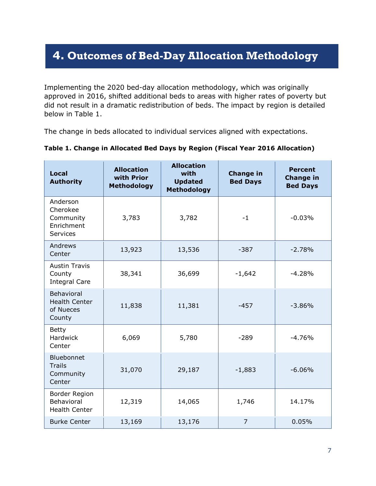## <span id="page-8-0"></span>**4. Outcomes of Bed-Day Allocation Methodology**

Implementing the 2020 bed-day allocation methodology, which was originally approved in 2016, shifted additional beds to areas with higher rates of poverty but did not result in a dramatic redistribution of beds. The impact by region is detailed below in Table 1.

The change in beds allocated to individual services aligned with expectations.

| <b>Local</b><br><b>Authority</b>                                   | <b>Allocation</b><br>with Prior<br><b>Methodology</b> | <b>Allocation</b><br>with<br><b>Updated</b><br><b>Methodology</b> | <b>Change in</b><br><b>Bed Days</b> | <b>Percent</b><br><b>Change in</b><br><b>Bed Days</b> |
|--------------------------------------------------------------------|-------------------------------------------------------|-------------------------------------------------------------------|-------------------------------------|-------------------------------------------------------|
| Anderson<br>Cherokee<br>Community<br>Enrichment<br><b>Services</b> | 3,783                                                 | 3,782                                                             | $-1$                                | $-0.03%$                                              |
| Andrews<br>Center                                                  | 13,923                                                | 13,536                                                            | $-387$                              | $-2.78%$                                              |
| <b>Austin Travis</b><br>County<br><b>Integral Care</b>             | 38,341                                                | 36,699                                                            | $-1,642$                            | $-4.28%$                                              |
| Behavioral<br><b>Health Center</b><br>of Nueces<br>County          | 11,838                                                | 11,381                                                            | $-457$                              | $-3.86%$                                              |
| <b>Betty</b><br><b>Hardwick</b><br>Center                          | 6,069                                                 | 5,780                                                             | $-289$                              | $-4.76%$                                              |
| Bluebonnet<br><b>Trails</b><br>Community<br>Center                 | 31,070                                                | 29,187                                                            | $-1,883$                            | $-6.06%$                                              |
| <b>Border Region</b><br>Behavioral<br><b>Health Center</b>         | 12,319                                                | 14,065                                                            | 1,746                               | 14.17%                                                |
| <b>Burke Center</b>                                                | 13,169                                                | 13,176                                                            | 7                                   | 0.05%                                                 |

#### **Table 1. Change in Allocated Bed Days by Region (Fiscal Year 2016 Allocation)**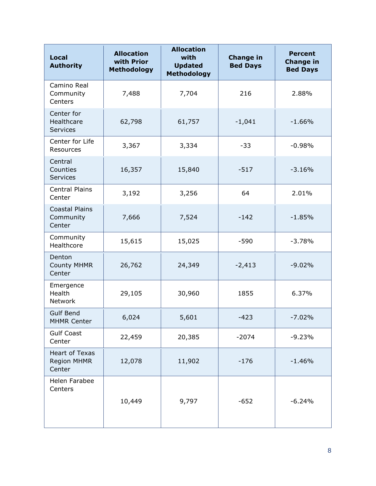| <b>Local</b><br><b>Authority</b>               | <b>Allocation</b><br>with Prior<br><b>Methodology</b> | <b>Allocation</b><br>with<br><b>Updated</b><br><b>Methodology</b> | <b>Change in</b><br><b>Bed Days</b> | <b>Percent</b><br><b>Change in</b><br><b>Bed Days</b> |
|------------------------------------------------|-------------------------------------------------------|-------------------------------------------------------------------|-------------------------------------|-------------------------------------------------------|
| Camino Real<br>Community<br>Centers            | 7,488                                                 | 7,704                                                             | 216                                 | 2.88%                                                 |
| Center for<br>Healthcare<br><b>Services</b>    | 62,798                                                | 61,757                                                            | $-1,041$                            | $-1.66%$                                              |
| Center for Life<br>Resources                   | 3,367                                                 | 3,334                                                             | $-33$                               | $-0.98%$                                              |
| Central<br>Counties<br><b>Services</b>         | 16,357                                                | 15,840                                                            | $-517$                              | $-3.16%$                                              |
| <b>Central Plains</b><br>Center                | 3,192                                                 | 3,256                                                             | 64                                  | 2.01%                                                 |
| <b>Coastal Plains</b><br>Community<br>Center   | 7,666                                                 | 7,524                                                             | $-142$                              | $-1.85%$                                              |
| Community<br>Healthcore                        | 15,615                                                | 15,025                                                            | $-590$                              | $-3.78%$                                              |
| Denton<br><b>County MHMR</b><br>Center         | 26,762                                                | 24,349                                                            | $-2,413$                            | $-9.02%$                                              |
| Emergence<br>Health<br>Network                 | 29,105                                                | 30,960                                                            | 1855                                | 6.37%                                                 |
| <b>Gulf Bend</b><br><b>MHMR Center</b>         | 6,024                                                 | 5,601                                                             | $-423$                              | $-7.02%$                                              |
| <b>Gulf Coast</b><br>Center                    | 22,459                                                | 20,385                                                            | $-2074$                             | $-9.23%$                                              |
| <b>Heart of Texas</b><br>Region MHMR<br>Center | 12,078                                                | 11,902                                                            | $-176$                              | $-1.46%$                                              |
| Helen Farabee<br>Centers                       | 10,449                                                | 9,797                                                             | $-652$                              | $-6.24%$                                              |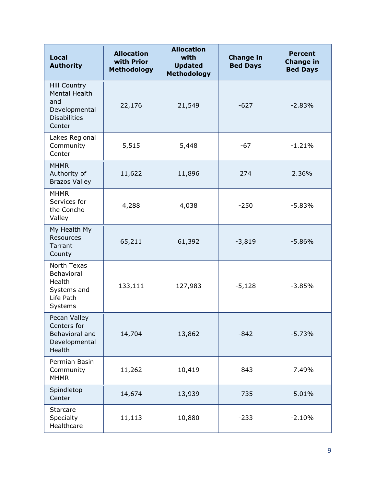| <b>Local</b><br><b>Authority</b>                                                              | <b>Allocation</b><br>with Prior<br><b>Methodology</b> | <b>Allocation</b><br>with<br><b>Updated</b><br><b>Methodology</b> | <b>Change in</b><br><b>Bed Days</b> | <b>Percent</b><br><b>Change in</b><br><b>Bed Days</b> |
|-----------------------------------------------------------------------------------------------|-------------------------------------------------------|-------------------------------------------------------------------|-------------------------------------|-------------------------------------------------------|
| <b>Hill Country</b><br>Mental Health<br>and<br>Developmental<br><b>Disabilities</b><br>Center | 22,176                                                | 21,549                                                            | $-627$                              | $-2.83%$                                              |
| Lakes Regional<br>Community<br>Center                                                         | 5,515                                                 | 5,448                                                             | $-67$                               | $-1.21%$                                              |
| <b>MHMR</b><br>Authority of<br><b>Brazos Valley</b>                                           | 11,622                                                | 11,896                                                            | 274                                 | 2.36%                                                 |
| <b>MHMR</b><br>Services for<br>the Concho<br>Valley                                           | 4,288                                                 | 4,038                                                             | $-250$                              | $-5.83%$                                              |
| My Health My<br>Resources<br>Tarrant<br>County                                                | 65,211                                                | 61,392                                                            | $-3,819$                            | $-5.86%$                                              |
| North Texas<br>Behavioral<br>Health<br>Systems and<br>Life Path<br>Systems                    | 133,111                                               | 127,983                                                           | $-5,128$                            | $-3.85%$                                              |
| Pecan Valley<br>Centers for<br>Behavioral and<br>Developmental<br>Health                      | 14,704                                                | 13,862                                                            | $-842$                              | $-5.73%$                                              |
| Permian Basin<br>Community<br><b>MHMR</b>                                                     | 11,262                                                | 10,419                                                            | $-843$                              | $-7.49%$                                              |
| Spindletop<br>Center                                                                          | 14,674                                                | 13,939                                                            | $-735$                              | $-5.01%$                                              |
| <b>Starcare</b><br>Specialty<br>Healthcare                                                    | 11,113                                                | 10,880                                                            | $-233$                              | $-2.10%$                                              |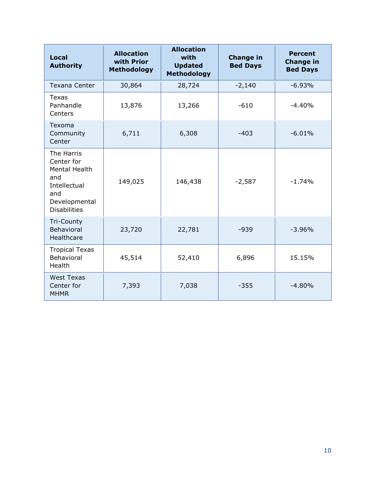<span id="page-11-0"></span>

| <b>Local</b><br><b>Authority</b>                                                                                | <b>Allocation</b><br>with Prior<br><b>Methodology</b> | <b>Allocation</b><br>with<br><b>Updated</b><br><b>Methodology</b> | <b>Change in</b><br><b>Bed Days</b> | <b>Percent</b><br><b>Change in</b><br><b>Bed Days</b> |
|-----------------------------------------------------------------------------------------------------------------|-------------------------------------------------------|-------------------------------------------------------------------|-------------------------------------|-------------------------------------------------------|
| Texana Center                                                                                                   | 30,864                                                | 28,724                                                            | $-2,140$                            | $-6.93%$                                              |
| <b>Texas</b><br>Panhandle<br>Centers                                                                            | 13,876                                                | 13,266                                                            | $-610$                              | $-4.40%$                                              |
| Texoma<br>Community<br>Center                                                                                   | 6,711                                                 | 6,308                                                             | $-403$                              | $-6.01%$                                              |
| The Harris<br>Center for<br>Mental Health<br>and<br>Intellectual<br>and<br>Developmental<br><b>Disabilities</b> | 149,025                                               | 146,438                                                           | $-2,587$                            | $-1.74%$                                              |
| Tri-County<br><b>Behavioral</b><br>Healthcare                                                                   | 23,720                                                | 22,781                                                            | $-939$                              | $-3.96%$                                              |
| <b>Tropical Texas</b><br>Behavioral<br>Health                                                                   | 45,514                                                | 52,410                                                            | 6,896                               | 15.15%                                                |
| <b>West Texas</b><br>Center for<br><b>MHMR</b>                                                                  | 7,393                                                 | 7,038                                                             | $-355$                              | $-4.80%$                                              |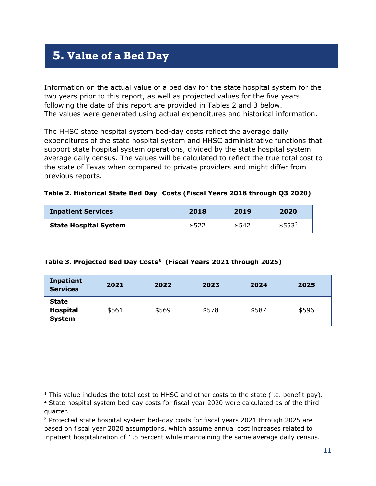## **5. Value of a Bed Day**

i,

Information on the actual value of a bed day for the state hospital system for the two years prior to this report, as well as projected values for the five years following the date of this report are provided in Tables 2 and 3 below. The values were generated using actual expenditures and historical information.

The HHSC state hospital system bed-day costs reflect the average daily expenditures of the state hospital system and HHSC administrative functions that support state hospital system operations, divided by the state hospital system average daily census. The values will be calculated to reflect the true total cost to the state of Texas when compared to private providers and might differ from previous reports.

|  |  |  | Table 2. Historical State Bed Day <sup>1</sup> Costs (Fiscal Years 2018 through Q3 2020) |  |
|--|--|--|------------------------------------------------------------------------------------------|--|
|  |  |  |                                                                                          |  |

| <b>Inpatient Services</b>    | 2018  | 2019  | 2020     |
|------------------------------|-------|-------|----------|
| <b>State Hospital System</b> | \$522 | \$542 | $$553^2$ |

#### **Table 3. Projected Bed Day Costs[3](#page-12-2) (Fiscal Years 2021 through 2025)**

| Inpatient<br><b>Services</b>              | 2021  | 2022  | 2023  | 2024  | 2025  |
|-------------------------------------------|-------|-------|-------|-------|-------|
| <b>State</b><br>Hospital<br><b>System</b> | \$561 | \$569 | \$578 | \$587 | \$596 |

<span id="page-12-0"></span> $1$  This value includes the total cost to HHSC and other costs to the state (i.e. benefit pay).

<span id="page-12-1"></span> $2$  State hospital system bed-day costs for fiscal year 2020 were calculated as of the third quarter.

<span id="page-12-2"></span><sup>&</sup>lt;sup>3</sup> Projected state hospital system bed-day costs for fiscal years 2021 through 2025 are based on fiscal year 2020 assumptions, which assume annual cost increases related to inpatient hospitalization of 1.5 percent while maintaining the same average daily census.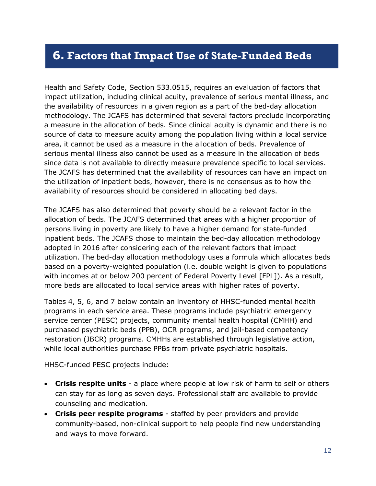### <span id="page-13-0"></span>**6. Factors that Impact Use of State-Funded Beds**

Health and Safety Code, Section 533.0515, requires an evaluation of factors that impact utilization, including clinical acuity, prevalence of serious mental illness, and the availability of resources in a given region as a part of the bed-day allocation methodology. The JCAFS has determined that several factors preclude incorporating a measure in the allocation of beds. Since clinical acuity is dynamic and there is no source of data to measure acuity among the population living within a local service area, it cannot be used as a measure in the allocation of beds. Prevalence of serious mental illness also cannot be used as a measure in the allocation of beds since data is not available to directly measure prevalence specific to local services. The JCAFS has determined that the availability of resources can have an impact on the utilization of inpatient beds, however, there is no consensus as to how the availability of resources should be considered in allocating bed days.

The JCAFS has also determined that poverty should be a relevant factor in the allocation of beds. The JCAFS determined that areas with a higher proportion of persons living in poverty are likely to have a higher demand for state-funded inpatient beds. The JCAFS chose to maintain the bed-day allocation methodology adopted in 2016 after considering each of the relevant factors that impact utilization. The bed-day allocation methodology uses a formula which allocates beds based on a poverty-weighted population (i.e. double weight is given to populations with incomes at or below 200 percent of Federal Poverty Level [FPL]). As a result, more beds are allocated to local service areas with higher rates of poverty.

Tables 4, 5, 6, and 7 below contain an inventory of HHSC-funded mental health programs in each service area. These programs include psychiatric emergency service center (PESC) projects, community mental health hospital (CMHH) and purchased psychiatric beds (PPB), OCR programs, and jail-based competency restoration (JBCR) programs. CMHHs are established through legislative action, while local authorities purchase PPBs from private psychiatric hospitals.

HHSC-funded PESC projects include:

- **Crisis respite units** a place where people at low risk of harm to self or others can stay for as long as seven days. Professional staff are available to provide counseling and medication.
- **Crisis peer respite programs** staffed by peer providers and provide community-based, non-clinical support to help people find new understanding and ways to move forward.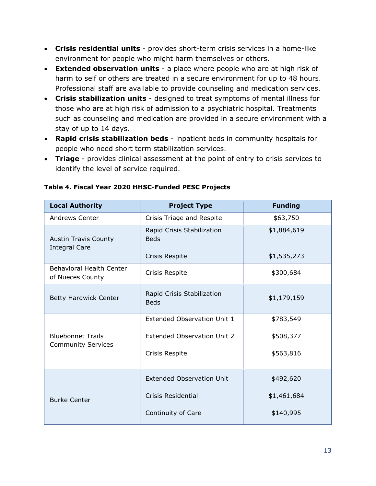- **Crisis residential units** provides short-term crisis services in a home-like environment for people who might harm themselves or others.
- **Extended observation units** a place where people who are at high risk of harm to self or others are treated in a secure environment for up to 48 hours. Professional staff are available to provide counseling and medication services.
- **Crisis stabilization units** designed to treat symptoms of mental illness for those who are at high risk of admission to a psychiatric hospital. Treatments such as counseling and medication are provided in a secure environment with a stay of up to 14 days.
- **Rapid crisis stabilization beds** inpatient beds in community hospitals for people who need short term stabilization services.
- **Triage** provides clinical assessment at the point of entry to crisis services to identify the level of service required.

| <b>Local Authority</b>                                | <b>Project Type</b>                       | <b>Funding</b> |
|-------------------------------------------------------|-------------------------------------------|----------------|
| <b>Andrews Center</b>                                 | Crisis Triage and Respite                 | \$63,750       |
| <b>Austin Travis County</b><br><b>Integral Care</b>   | Rapid Crisis Stabilization<br><b>Beds</b> | \$1,884,619    |
|                                                       | Crisis Respite                            | \$1,535,273    |
| <b>Behavioral Health Center</b><br>of Nueces County   | Crisis Respite                            | \$300,684      |
| Betty Hardwick Center                                 | Rapid Crisis Stabilization<br><b>Beds</b> | \$1,179,159    |
|                                                       | Extended Observation Unit 1               | \$783,549      |
| <b>Bluebonnet Trails</b><br><b>Community Services</b> | Extended Observation Unit 2               | \$508,377      |
|                                                       | Crisis Respite                            | \$563,816      |
|                                                       | <b>Extended Observation Unit</b>          | \$492,620      |
| <b>Burke Center</b>                                   | Crisis Residential                        | \$1,461,684    |
|                                                       | Continuity of Care                        | \$140,995      |

#### **Table 4. Fiscal Year 2020 HHSC-Funded PESC Projects**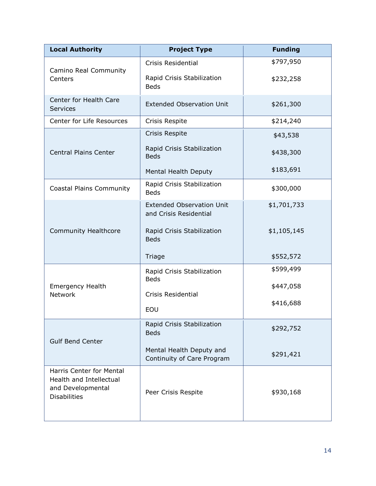| <b>Local Authority</b>                                                                                 | <b>Project Type</b>                                        | <b>Funding</b> |
|--------------------------------------------------------------------------------------------------------|------------------------------------------------------------|----------------|
|                                                                                                        | <b>Crisis Residential</b>                                  | \$797,950      |
| Camino Real Community<br>Centers                                                                       | Rapid Crisis Stabilization<br><b>Beds</b>                  | \$232,258      |
| Center for Health Care<br>Services                                                                     | <b>Extended Observation Unit</b>                           | \$261,300      |
| Center for Life Resources                                                                              | Crisis Respite                                             | \$214,240      |
|                                                                                                        | Crisis Respite                                             | \$43,538       |
| <b>Central Plains Center</b>                                                                           | Rapid Crisis Stabilization<br><b>Beds</b>                  | \$438,300      |
|                                                                                                        | Mental Health Deputy                                       | \$183,691      |
| <b>Coastal Plains Community</b>                                                                        | Rapid Crisis Stabilization<br><b>Beds</b>                  | \$300,000      |
|                                                                                                        | <b>Extended Observation Unit</b><br>and Crisis Residential | \$1,701,733    |
| <b>Community Healthcore</b>                                                                            | Rapid Crisis Stabilization<br><b>Beds</b>                  | \$1,105,145    |
|                                                                                                        | Triage                                                     | \$552,572      |
|                                                                                                        | Rapid Crisis Stabilization<br><b>Beds</b>                  | \$599,499      |
| <b>Emergency Health</b><br><b>Network</b>                                                              | <b>Crisis Residential</b>                                  | \$447,058      |
|                                                                                                        | EOU                                                        | \$416,688      |
| <b>Gulf Bend Center</b>                                                                                | Rapid Crisis Stabilization<br><b>Beds</b>                  | \$292,752      |
|                                                                                                        | Mental Health Deputy and<br>Continuity of Care Program     | \$291,421      |
| <b>Harris Center for Mental</b><br>Health and Intellectual<br>and Developmental<br><b>Disabilities</b> | Peer Crisis Respite                                        | \$930,168      |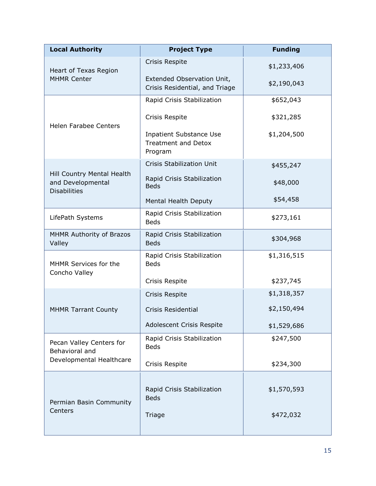| <b>Local Authority</b>                                                 | <b>Project Type</b>                                                     | <b>Funding</b> |
|------------------------------------------------------------------------|-------------------------------------------------------------------------|----------------|
| Heart of Texas Region                                                  | Crisis Respite                                                          | \$1,233,406    |
| <b>MHMR Center</b>                                                     | Extended Observation Unit,<br>Crisis Residential, and Triage            | \$2,190,043    |
|                                                                        | Rapid Crisis Stabilization                                              | \$652,043      |
| <b>Helen Farabee Centers</b>                                           | Crisis Respite                                                          | \$321,285      |
|                                                                        | <b>Inpatient Substance Use</b><br><b>Treatment and Detox</b><br>Program | \$1,204,500    |
|                                                                        | <b>Crisis Stabilization Unit</b>                                        | \$455,247      |
| Hill Country Mental Health<br>and Developmental<br><b>Disabilities</b> | Rapid Crisis Stabilization<br><b>Beds</b>                               | \$48,000       |
|                                                                        | Mental Health Deputy                                                    | \$54,458       |
| LifePath Systems                                                       | Rapid Crisis Stabilization<br><b>Beds</b>                               | \$273,161      |
| MHMR Authority of Brazos<br>Valley                                     | Rapid Crisis Stabilization<br><b>Beds</b>                               | \$304,968      |
| MHMR Services for the<br>Concho Valley                                 | Rapid Crisis Stabilization<br><b>Beds</b>                               | \$1,316,515    |
|                                                                        | Crisis Respite                                                          | \$237,745      |
|                                                                        | Crisis Respite                                                          | \$1,318,357    |
| <b>MHMR Tarrant County</b>                                             | Crisis Residential                                                      | \$2,150,494    |
|                                                                        | Adolescent Crisis Respite                                               | \$1,529,686    |
| Pecan Valley Centers for<br>Behavioral and                             | Rapid Crisis Stabilization<br><b>Beds</b>                               | \$247,500      |
| Developmental Healthcare                                               | Crisis Respite                                                          | \$234,300      |
| Permian Basin Community<br>Centers                                     | Rapid Crisis Stabilization<br><b>Beds</b>                               | \$1,570,593    |
|                                                                        | Triage                                                                  | \$472,032      |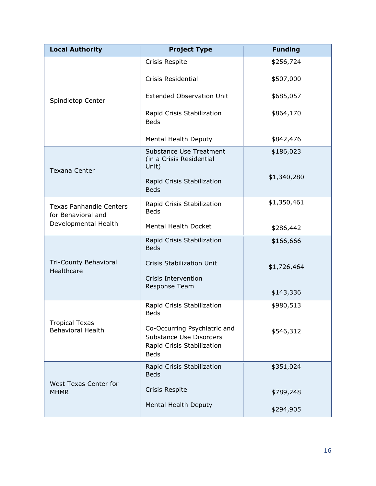| <b>Local Authority</b>                               | <b>Project Type</b>                                                                                  | <b>Funding</b> |
|------------------------------------------------------|------------------------------------------------------------------------------------------------------|----------------|
|                                                      | Crisis Respite                                                                                       | \$256,724      |
|                                                      | Crisis Residential                                                                                   | \$507,000      |
| Spindletop Center                                    | <b>Extended Observation Unit</b>                                                                     | \$685,057      |
|                                                      | Rapid Crisis Stabilization<br><b>Beds</b>                                                            | \$864,170      |
|                                                      | Mental Health Deputy                                                                                 | \$842,476      |
| <b>Texana Center</b>                                 | <b>Substance Use Treatment</b><br>(in a Crisis Residential<br>Unit)                                  | \$186,023      |
|                                                      | Rapid Crisis Stabilization<br><b>Beds</b>                                                            | \$1,340,280    |
| <b>Texas Panhandle Centers</b><br>for Behavioral and | Rapid Crisis Stabilization<br><b>Beds</b>                                                            | \$1,350,461    |
| Developmental Health                                 | Mental Health Docket                                                                                 | \$286,442      |
|                                                      | Rapid Crisis Stabilization<br><b>Beds</b>                                                            | \$166,666      |
| Tri-County Behavioral<br>Healthcare                  | <b>Crisis Stabilization Unit</b>                                                                     | \$1,726,464    |
|                                                      | Crisis Intervention<br>Response Team                                                                 | \$143,336      |
|                                                      | Rapid Crisis Stabilization<br><b>Beds</b>                                                            | \$980,513      |
| <b>Tropical Texas</b><br><b>Behavioral Health</b>    | Co-Occurring Psychiatric and<br>Substance Use Disorders<br>Rapid Crisis Stabilization<br><b>Beds</b> | \$546,312      |
|                                                      | Rapid Crisis Stabilization<br><b>Beds</b>                                                            | \$351,024      |
| West Texas Center for<br><b>MHMR</b>                 | Crisis Respite                                                                                       | \$789,248      |
|                                                      | Mental Health Deputy                                                                                 | \$294,905      |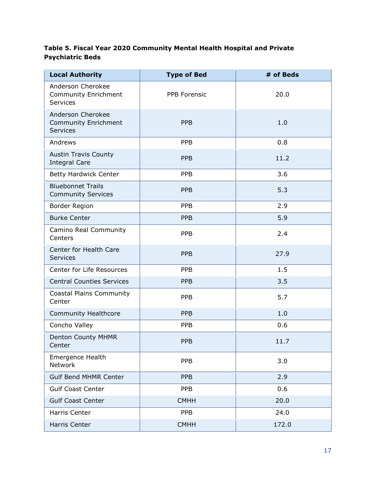#### **Table 5. Fiscal Year 2020 Community Mental Health Hospital and Private Psychiatric Beds**

| <b>Local Authority</b>                                       | <b>Type of Bed</b>  | # of Beds |
|--------------------------------------------------------------|---------------------|-----------|
| Anderson Cherokee<br><b>Community Enrichment</b><br>Services | <b>PPB Forensic</b> | 20.0      |
| Anderson Cherokee<br>Community Enrichment<br><b>Services</b> | <b>PPB</b>          | 1.0       |
| Andrews                                                      | <b>PPB</b>          | 0.8       |
| <b>Austin Travis County</b><br><b>Integral Care</b>          | <b>PPB</b>          | 11.2      |
| <b>Betty Hardwick Center</b>                                 | <b>PPB</b>          | 3.6       |
| <b>Bluebonnet Trails</b><br><b>Community Services</b>        | <b>PPB</b>          | 5.3       |
| Border Region                                                | <b>PPB</b>          | 2.9       |
| <b>Burke Center</b>                                          | <b>PPB</b>          | 5.9       |
| Camino Real Community<br>Centers                             | <b>PPB</b>          | 2.4       |
| Center for Health Care<br><b>Services</b>                    | <b>PPB</b>          | 27.9      |
| Center for Life Resources                                    | <b>PPB</b>          | 1.5       |
| <b>Central Counties Services</b>                             | <b>PPB</b>          | 3.5       |
| Coastal Plains Community<br>Center                           | <b>PPB</b>          | 5.7       |
| <b>Community Healthcore</b>                                  | <b>PPB</b>          | 1.0       |
| Concho Valley                                                | <b>PPB</b>          | 0.6       |
| <b>Denton County MHMR</b><br>Center                          | <b>PPB</b>          | 11.7      |
| Emergence Health<br>Network                                  | <b>PPB</b>          | 3.0       |
| <b>Gulf Bend MHMR Center</b>                                 | <b>PPB</b>          | 2.9       |
| <b>Gulf Coast Center</b>                                     | <b>PPB</b>          | 0.6       |
| <b>Gulf Coast Center</b>                                     | <b>CMHH</b>         | 20.0      |
| Harris Center                                                | <b>PPB</b>          | 24.0      |
| Harris Center                                                | <b>CMHH</b>         | 172.0     |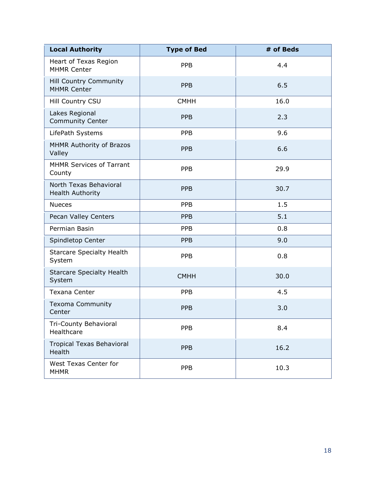| <b>Local Authority</b>                              | <b>Type of Bed</b> | # of Beds |
|-----------------------------------------------------|--------------------|-----------|
| Heart of Texas Region<br><b>MHMR Center</b>         | <b>PPB</b>         | 4.4       |
| <b>Hill Country Community</b><br><b>MHMR Center</b> | <b>PPB</b>         | 6.5       |
| Hill Country CSU                                    | <b>CMHH</b>        | 16.0      |
| Lakes Regional<br><b>Community Center</b>           | <b>PPB</b>         | 2.3       |
| LifePath Systems                                    | <b>PPB</b>         | 9.6       |
| MHMR Authority of Brazos<br>Valley                  | <b>PPB</b>         | 6.6       |
| <b>MHMR Services of Tarrant</b><br>County           | <b>PPB</b>         | 29.9      |
| North Texas Behavioral<br>Health Authority          | <b>PPB</b>         | 30.7      |
| <b>Nueces</b>                                       | <b>PPB</b>         | 1.5       |
| Pecan Valley Centers                                | <b>PPB</b>         | 5.1       |
| Permian Basin                                       | <b>PPB</b>         | 0.8       |
| Spindletop Center                                   | <b>PPB</b>         | 9.0       |
| <b>Starcare Specialty Health</b><br>System          | <b>PPB</b>         | 0.8       |
| <b>Starcare Specialty Health</b><br>System          | <b>CMHH</b>        | 30.0      |
| <b>Texana Center</b>                                | <b>PPB</b>         | 4.5       |
| <b>Texoma Community</b><br>Center                   | <b>PPB</b>         | 3.0       |
| Tri-County Behavioral<br>Healthcare                 | <b>PPB</b>         | 8.4       |
| <b>Tropical Texas Behavioral</b><br>Health          | <b>PPB</b>         | 16.2      |
| West Texas Center for<br><b>MHMR</b>                | <b>PPB</b>         | 10.3      |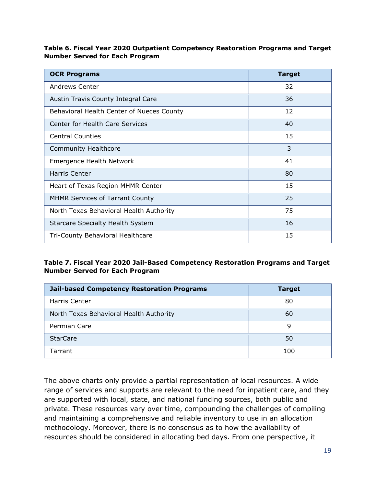#### **Table 6. Fiscal Year 2020 Outpatient Competency Restoration Programs and Target Number Served for Each Program**

| <b>OCR Programs</b>                       | <b>Target</b> |
|-------------------------------------------|---------------|
| <b>Andrews Center</b>                     | 32            |
| Austin Travis County Integral Care        | 36            |
| Behavioral Health Center of Nueces County | 12            |
| <b>Center for Health Care Services</b>    | 40            |
| <b>Central Counties</b>                   | 15            |
| <b>Community Healthcore</b>               | 3             |
| <b>Emergence Health Network</b>           | 41            |
| Harris Center                             | 80            |
| Heart of Texas Region MHMR Center         | 15            |
| <b>MHMR Services of Tarrant County</b>    | 25            |
| North Texas Behavioral Health Authority   | 75            |
| <b>Starcare Specialty Health System</b>   | 16            |
| Tri-County Behavioral Healthcare          | 15            |

#### **Table 7. Fiscal Year 2020 Jail-Based Competency Restoration Programs and Target Number Served for Each Program**

| <b>Jail-based Competency Restoration Programs</b> | <b>Target</b> |
|---------------------------------------------------|---------------|
| Harris Center                                     | 80            |
| North Texas Behavioral Health Authority           | 60            |
| Permian Care                                      | 9             |
| <b>StarCare</b>                                   | 50            |
| Tarrant                                           | 100           |

The above charts only provide a partial representation of local resources. A wide range of services and supports are relevant to the need for inpatient care, and they are supported with local, state, and national funding sources, both public and private. These resources vary over time, compounding the challenges of compiling and maintaining a comprehensive and reliable inventory to use in an allocation methodology. Moreover, there is no consensus as to how the availability of resources should be considered in allocating bed days. From one perspective, it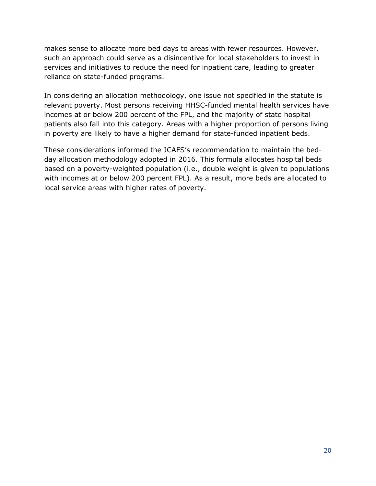makes sense to allocate more bed days to areas with fewer resources. However, such an approach could serve as a disincentive for local stakeholders to invest in services and initiatives to reduce the need for inpatient care, leading to greater reliance on state-funded programs.

In considering an allocation methodology, one issue not specified in the statute is relevant poverty. Most persons receiving HHSC-funded mental health services have incomes at or below 200 percent of the FPL, and the majority of state hospital patients also fall into this category. Areas with a higher proportion of persons living in poverty are likely to have a higher demand for state-funded inpatient beds.

These considerations informed the JCAFS's recommendation to maintain the bedday allocation methodology adopted in 2016. This formula allocates hospital beds based on a poverty-weighted population (i.e., double weight is given to populations with incomes at or below 200 percent FPL). As a result, more beds are allocated to local service areas with higher rates of poverty.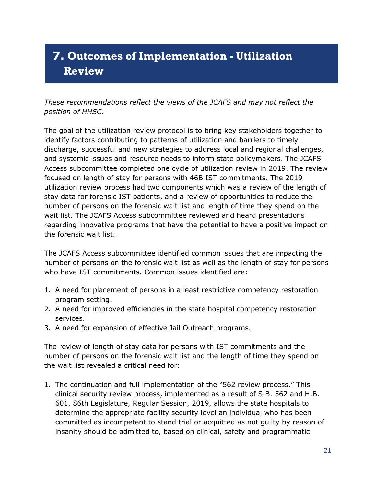# <span id="page-22-0"></span>**7. Outcomes of Implementation - Utilization Review**

*These recommendations reflect the views of the JCAFS and may not reflect the position of HHSC.* 

The goal of the utilization review protocol is to bring key stakeholders together to identify factors contributing to patterns of utilization and barriers to timely discharge, successful and new strategies to address local and regional challenges, and systemic issues and resource needs to inform state policymakers. The JCAFS Access subcommittee completed one cycle of utilization review in 2019. The review focused on length of stay for persons with 46B IST commitments. The 2019 utilization review process had two components which was a review of the length of stay data for forensic IST patients, and a review of opportunities to reduce the number of persons on the forensic wait list and length of time they spend on the wait list. The JCAFS Access subcommittee reviewed and heard presentations regarding innovative programs that have the potential to have a positive impact on the forensic wait list.

The JCAFS Access subcommittee identified common issues that are impacting the number of persons on the forensic wait list as well as the length of stay for persons who have IST commitments. Common issues identified are:

- 1. A need for placement of persons in a least restrictive competency restoration program setting.
- 2. A need for improved efficiencies in the state hospital competency restoration services.
- 3. A need for expansion of effective Jail Outreach programs.

The review of length of stay data for persons with IST commitments and the number of persons on the forensic wait list and the length of time they spend on the wait list revealed a critical need for:

1. The continuation and full implementation of the "562 review process." This clinical security review process, implemented as a result of S.B. 562 and H.B. 601, 86th Legislature, Regular Session, 2019, allows the state hospitals to determine the appropriate facility security level an individual who has been committed as incompetent to stand trial or acquitted as not guilty by reason of insanity should be admitted to, based on clinical, safety and programmatic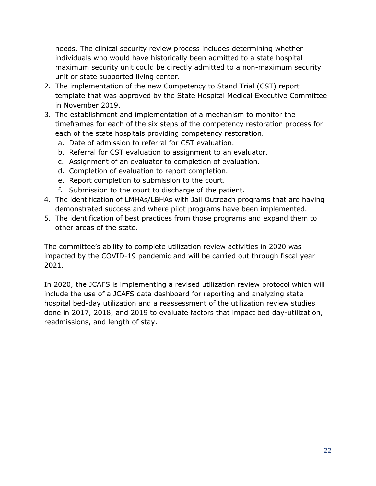needs. The clinical security review process includes determining whether individuals who would have historically been admitted to a state hospital maximum security unit could be directly admitted to a non-maximum security unit or state supported living center.

- 2. The implementation of the new Competency to Stand Trial (CST) report template that was approved by the State Hospital Medical Executive Committee in November 2019.
- 3. The establishment and implementation of a mechanism to monitor the timeframes for each of the six steps of the competency restoration process for each of the state hospitals providing competency restoration.
	- a. Date of admission to referral for CST evaluation.
	- b. Referral for CST evaluation to assignment to an evaluator.
	- c. Assignment of an evaluator to completion of evaluation.
	- d. Completion of evaluation to report completion.
	- e. Report completion to submission to the court.
	- f. Submission to the court to discharge of the patient.
- 4. The identification of LMHAs/LBHAs with Jail Outreach programs that are having demonstrated success and where pilot programs have been implemented.
- 5. The identification of best practices from those programs and expand them to other areas of the state.

The committee's ability to complete utilization review activities in 2020 was impacted by the COVID-19 pandemic and will be carried out through fiscal year 2021.

In 2020, the JCAFS is implementing a revised utilization review protocol which will include the use of a JCAFS data dashboard for reporting and analyzing state hospital bed-day utilization and a reassessment of the utilization review studies done in 2017, 2018, and 2019 to evaluate factors that impact bed day-utilization, readmissions, and length of stay.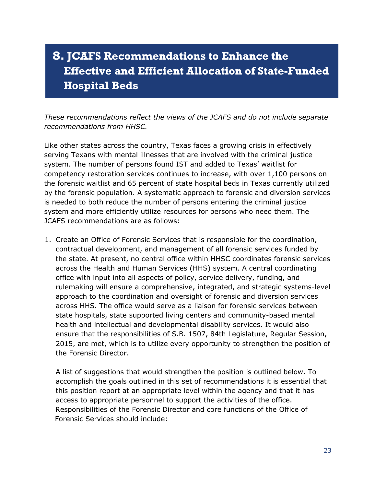# <span id="page-24-0"></span>**8. JCAFS Recommendations to Enhance the Effective and Efficient Allocation of State-Funded Hospital Beds**

*These recommendations reflect the views of the JCAFS and do not include separate recommendations from HHSC.* 

Like other states across the country, Texas faces a growing crisis in effectively serving Texans with mental illnesses that are involved with the criminal justice system. The number of persons found IST and added to Texas' waitlist for competency restoration services continues to increase, with over 1,100 persons on the forensic waitlist and 65 percent of state hospital beds in Texas currently utilized by the forensic population. A systematic approach to forensic and diversion services is needed to both reduce the number of persons entering the criminal justice system and more efficiently utilize resources for persons who need them. The JCAFS recommendations are as follows:

1. Create an Office of Forensic Services that is responsible for the coordination, contractual development, and management of all forensic services funded by the state. At present, no central office within HHSC coordinates forensic services across the Health and Human Services (HHS) system. A central coordinating office with input into all aspects of policy, service delivery, funding, and rulemaking will ensure a comprehensive, integrated, and strategic systems-level approach to the coordination and oversight of forensic and diversion services across HHS. The office would serve as a liaison for forensic services between state hospitals, state supported living centers and community-based mental health and intellectual and developmental disability services. It would also ensure that the responsibilities of S.B. 1507, 84th Legislature, Regular Session, 2015, are met, which is to utilize every opportunity to strengthen the position of the Forensic Director.

A list of suggestions that would strengthen the position is outlined below. To accomplish the goals outlined in this set of recommendations it is essential that this position report at an appropriate level within the agency and that it has access to appropriate personnel to support the activities of the office. Responsibilities of the Forensic Director and core functions of the Office of Forensic Services should include: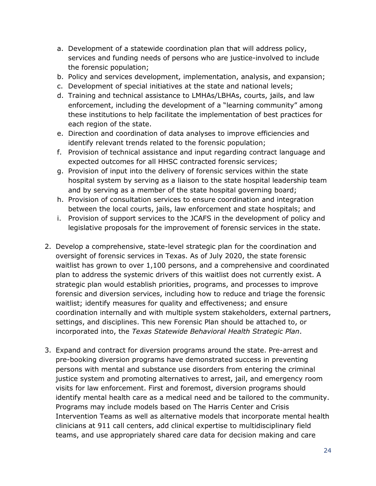- a. Development of a statewide coordination plan that will address policy, services and funding needs of persons who are justice-involved to include the forensic population;
- b. Policy and services development, implementation, analysis, and expansion;
- c. Development of special initiatives at the state and national levels;
- d. Training and technical assistance to LMHAs/LBHAs, courts, jails, and law enforcement, including the development of a "learning community" among these institutions to help facilitate the implementation of best practices for each region of the state.
- e. Direction and coordination of data analyses to improve efficiencies and identify relevant trends related to the forensic population;
- f. Provision of technical assistance and input regarding contract language and expected outcomes for all HHSC contracted forensic services;
- g. Provision of input into the delivery of forensic services within the state hospital system by serving as a liaison to the state hospital leadership team and by serving as a member of the state hospital governing board;
- h. Provision of consultation services to ensure coordination and integration between the local courts, jails, law enforcement and state hospitals; and
- i. Provision of support services to the JCAFS in the development of policy and legislative proposals for the improvement of forensic services in the state.
- 2. Develop a comprehensive, state-level strategic plan for the coordination and oversight of forensic services in Texas. As of July 2020, the state forensic waitlist has grown to over 1,100 persons, and a comprehensive and coordinated plan to address the systemic drivers of this waitlist does not currently exist. A strategic plan would establish priorities, programs, and processes to improve forensic and diversion services, including how to reduce and triage the forensic waitlist; identify measures for quality and effectiveness; and ensure coordination internally and with multiple system stakeholders, external partners, settings, and disciplines. This new Forensic Plan should be attached to, or incorporated into, the *Texas Statewide Behavioral Health Strategic Plan*.
- 3. Expand and contract for diversion programs around the state. Pre-arrest and pre-booking diversion programs have demonstrated success in preventing persons with mental and substance use disorders from entering the criminal justice system and promoting alternatives to arrest, jail, and emergency room visits for law enforcement. First and foremost, diversion programs should identify mental health care as a medical need and be tailored to the community. Programs may include models based on The Harris Center and Crisis Intervention Teams as well as alternative models that incorporate mental health clinicians at 911 call centers, add clinical expertise to multidisciplinary field teams, and use appropriately shared care data for decision making and care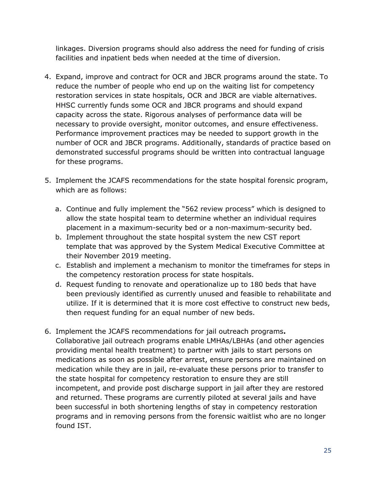linkages. Diversion programs should also address the need for funding of crisis facilities and inpatient beds when needed at the time of diversion.

- 4. Expand, improve and contract for OCR and JBCR programs around the state. To reduce the number of people who end up on the waiting list for competency restoration services in state hospitals, OCR and JBCR are viable alternatives. HHSC currently funds some OCR and JBCR programs and should expand capacity across the state. Rigorous analyses of performance data will be necessary to provide oversight, monitor outcomes, and ensure effectiveness. Performance improvement practices may be needed to support growth in the number of OCR and JBCR programs. Additionally, standards of practice based on demonstrated successful programs should be written into contractual language for these programs.
- 5. Implement the JCAFS recommendations for the state hospital forensic program, which are as follows:
	- a. Continue and fully implement the "562 review process" which is designed to allow the state hospital team to determine whether an individual requires placement in a maximum-security bed or a non-maximum-security bed.
	- b. Implement throughout the state hospital system the new CST report template that was approved by the System Medical Executive Committee at their November 2019 meeting.
	- c. Establish and implement a mechanism to monitor the timeframes for steps in the competency restoration process for state hospitals.
	- d. Request funding to renovate and operationalize up to 180 beds that have been previously identified as currently unused and feasible to rehabilitate and utilize. If it is determined that it is more cost effective to construct new beds, then request funding for an equal number of new beds.
- 6. Implement the JCAFS recommendations for jail outreach programs**.**  Collaborative jail outreach programs enable LMHAs/LBHAs (and other agencies providing mental health treatment) to partner with jails to start persons on medications as soon as possible after arrest, ensure persons are maintained on medication while they are in jail, re-evaluate these persons prior to transfer to the state hospital for competency restoration to ensure they are still incompetent, and provide post discharge support in jail after they are restored and returned. These programs are currently piloted at several jails and have been successful in both shortening lengths of stay in competency restoration programs and in removing persons from the forensic waitlist who are no longer found IST.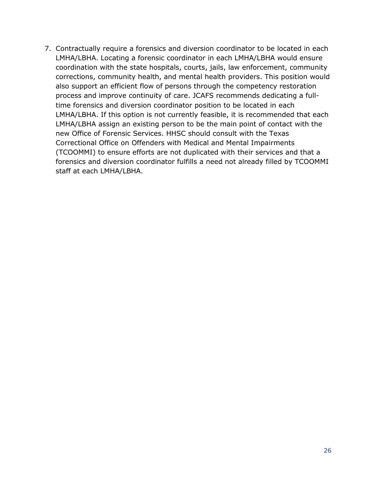7. Contractually require a forensics and diversion coordinator to be located in each LMHA/LBHA. Locating a forensic coordinator in each LMHA/LBHA would ensure coordination with the state hospitals, courts, jails, law enforcement, community corrections, community health, and mental health providers. This position would also support an efficient flow of persons through the competency restoration process and improve continuity of care. JCAFS recommends dedicating a fulltime forensics and diversion coordinator position to be located in each LMHA/LBHA. If this option is not currently feasible, it is recommended that each LMHA/LBHA assign an existing person to be the main point of contact with the new Office of Forensic Services. HHSC should consult with the Texas Correctional Office on Offenders with Medical and Mental Impairments (TCOOMMI) to ensure efforts are not duplicated with their services and that a forensics and diversion coordinator fulfills a need not already filled by TCOOMMI staff at each LMHA/LBHA.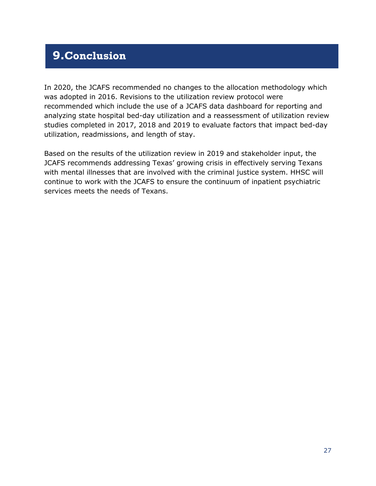## <span id="page-28-0"></span>**9.Conclusion**

In 2020, the JCAFS recommended no changes to the allocation methodology which was adopted in 2016. Revisions to the utilization review protocol were recommended which include the use of a JCAFS data dashboard for reporting and analyzing state hospital bed-day utilization and a reassessment of utilization review studies completed in 2017, 2018 and 2019 to evaluate factors that impact bed-day utilization, readmissions, and length of stay.

Based on the results of the utilization review in 2019 and stakeholder input, the JCAFS recommends addressing Texas' growing crisis in effectively serving Texans with mental illnesses that are involved with the criminal justice system. HHSC will continue to work with the JCAFS to ensure the continuum of inpatient psychiatric services meets the needs of Texans.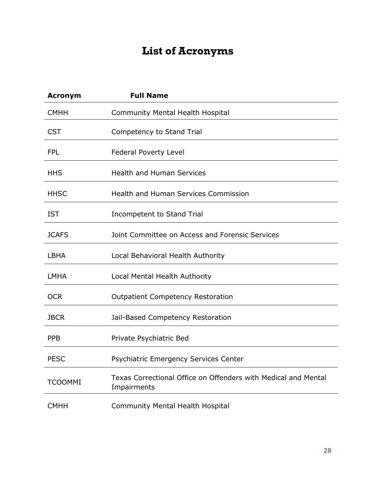## **List of Acronyms**

<span id="page-29-0"></span>

| <b>Acronym</b> | <b>Full Name</b>                                                              |
|----------------|-------------------------------------------------------------------------------|
| <b>CMHH</b>    | Community Mental Health Hospital                                              |
| <b>CST</b>     | Competency to Stand Trial                                                     |
| <b>FPL</b>     | <b>Federal Poverty Level</b>                                                  |
| <b>HHS</b>     | <b>Health and Human Services</b>                                              |
| <b>HHSC</b>    | <b>Health and Human Services Commission</b>                                   |
| <b>IST</b>     | Incompetent to Stand Trial                                                    |
| <b>JCAFS</b>   | Joint Committee on Access and Forensic Services                               |
| <b>LBHA</b>    | Local Behavioral Health Authority                                             |
| <b>LMHA</b>    | Local Mental Health Authority                                                 |
| <b>OCR</b>     | <b>Outpatient Competency Restoration</b>                                      |
| <b>JBCR</b>    | Jail-Based Competency Restoration                                             |
| <b>PPB</b>     | Private Psychiatric Bed                                                       |
| <b>PESC</b>    | Psychiatric Emergency Services Center                                         |
| <b>TCOOMMI</b> | Texas Correctional Office on Offenders with Medical and Mental<br>Impairments |
| <b>CMHH</b>    | <b>Community Mental Health Hospital</b>                                       |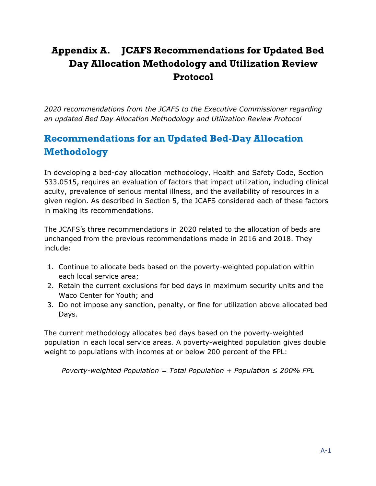### <span id="page-30-0"></span>**Appendix A. JCAFS Recommendations for Updated Bed Day Allocation Methodology and Utilization Review Protocol**

*2020 recommendations from the JCAFS to the Executive Commissioner regarding an updated Bed Day Allocation Methodology and Utilization Review Protocol*

### <span id="page-30-1"></span>**Recommendations for an Updated Bed-Day Allocation Methodology**

In developing a bed-day allocation methodology, Health and Safety Code, Section 533.0515, requires an evaluation of factors that impact utilization, including clinical acuity, prevalence of serious mental illness, and the availability of resources in a given region. As described in Section 5, the JCAFS considered each of these factors in making its recommendations.

The JCAFS's three recommendations in 2020 related to the allocation of beds are unchanged from the previous recommendations made in 2016 and 2018. They include:

- 1. Continue to allocate beds based on the poverty-weighted population within each local service area;
- 2. Retain the current exclusions for bed days in maximum security units and the Waco Center for Youth; and
- 3. Do not impose any sanction, penalty, or fine for utilization above allocated bed Days.

The current methodology allocates bed days based on the poverty-weighted population in each local service areas*.* A poverty-weighted population gives double weight to populations with incomes at or below 200 percent of the FPL:

*Poverty-weighted Population = Total Population + Population ≤ 200% FPL*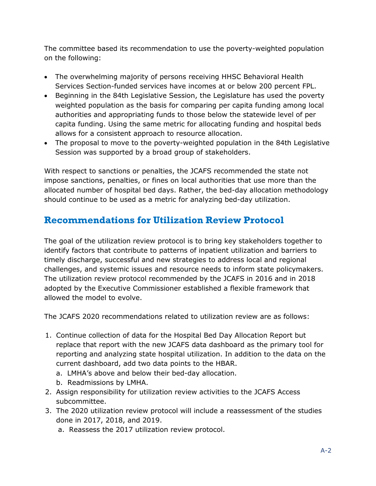The committee based its recommendation to use the poverty-weighted population on the following:

- The overwhelming majority of persons receiving HHSC Behavioral Health Services Section-funded services have incomes at or below 200 percent FPL.
- Beginning in the 84th Legislative Session, the Legislature has used the poverty weighted population as the basis for comparing per capita funding among local authorities and appropriating funds to those below the statewide level of per capita funding. Using the same metric for allocating funding and hospital beds allows for a consistent approach to resource allocation.
- The proposal to move to the poverty-weighted population in the 84th Legislative Session was supported by a broad group of stakeholders.

With respect to sanctions or penalties, the JCAFS recommended the state not impose sanctions, penalties, or fines on local authorities that use more than the allocated number of hospital bed days. Rather, the bed-day allocation methodology should continue to be used as a metric for analyzing bed-day utilization.

### <span id="page-31-0"></span>**Recommendations for Utilization Review Protocol**

The goal of the utilization review protocol is to bring key stakeholders together to identify factors that contribute to patterns of inpatient utilization and barriers to timely discharge, successful and new strategies to address local and regional challenges, and systemic issues and resource needs to inform state policymakers. The utilization review protocol recommended by the JCAFS in 2016 and in 2018 adopted by the Executive Commissioner established a flexible framework that allowed the model to evolve.

The JCAFS 2020 recommendations related to utilization review are as follows:

- 1. Continue collection of data for the Hospital Bed Day Allocation Report but replace that report with the new JCAFS data dashboard as the primary tool for reporting and analyzing state hospital utilization. In addition to the data on the current dashboard, add two data points to the HBAR.
	- a. LMHA's above and below their bed-day allocation.
	- b. Readmissions by LMHA.
- 2. Assign responsibility for utilization review activities to the JCAFS Access subcommittee.
- 3. The 2020 utilization review protocol will include a reassessment of the studies done in 2017, 2018, and 2019.
	- a. Reassess the 2017 utilization review protocol.